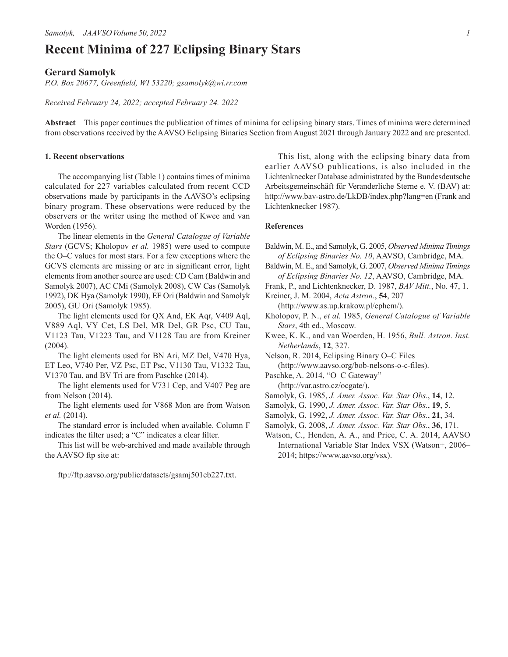## **Recent Minima of 227 Eclipsing Binary Stars**

## **Gerard Samolyk**

*P.O. Box 20677, Greenfield, WI 53220; gsamolyk@wi.rr.com*

*Received February 24, 2022; accepted February 24. 2022*

**Abstract** This paper continues the publication of times of minima for eclipsing binary stars. Times of minima were determined from observations received by the AAVSO Eclipsing Binaries Section from August 2021 through January 2022 and are presented.

## **1. Recent observations**

The accompanying list (Table 1) contains times of minima calculated for 227 variables calculated from recent CCD observations made by participants in the AAVSO's eclipsing binary program. These observations were reduced by the observers or the writer using the method of Kwee and van Worden (1956).

The linear elements in the *General Catalogue of Variable Stars* (GCVS; Kholopov *et al.* 1985) were used to compute the O–C values for most stars. For a few exceptions where the GCVS elements are missing or are in significant error, light elements from another source are used: CD Cam (Baldwin and Samolyk 2007), AC CMi (Samolyk 2008), CW Cas (Samolyk 1992), DK Hya (Samolyk 1990), EF Ori (Baldwin and Samolyk 2005), GU Ori (Samolyk 1985).

The light elements used for QX And, EK Aqr, V409 Aql, V889 Aql, VY Cet, LS Del, MR Del, GR Psc, CU Tau, V1123 Tau, V1223 Tau, and V1128 Tau are from Kreiner (2004).

The light elements used for BN Ari, MZ Del, V470 Hya, ET Leo, V740 Per, VZ Psc, ET Psc, V1130 Tau, V1332 Tau, V1370 Tau, and BV Tri are from Paschke (2014).

The light elements used for V731 Cep, and V407 Peg are from Nelson (2014).

The light elements used for V868 Mon are from Watson *et al.* (2014).

The standard error is included when available. Column F indicates the filter used; a "C" indicates a clear filter.

This list will be web-archived and made available through the AAVSO ftp site at:

ftp://ftp.aavso.org/public/datasets/gsamj501eb227.txt.

This list, along with the eclipsing binary data from earlier AAVSO publications, is also included in the Lichtenknecker Database administrated by the Bundesdeutsche Arbeitsgemeinschäft für Veranderliche Sterne e. V. (BAV) at: http://www.bav-astro.de/LkDB/index.php?lang=en (Frank and Lichtenknecker 1987).

## **References**

- Baldwin, M. E., and Samolyk, G. 2005, *Observed Minima Timings of Eclipsing Binaries No. 10*, AAVSO, Cambridge, MA.
- Baldwin, M. E., and Samolyk, G. 2007, *Observed Minima Timings of Eclipsing Binaries No. 12*, AAVSO, Cambridge, MA.
- Frank, P., and Lichtenknecker, D. 1987, *BAV Mitt.*, No. 47, 1.
- Kreiner, J. M. 2004, *Acta Astron.*, **54**, 207 (http://www.as.up.krakow.pl/ephem/).
- Kholopov, P. N., *et al.* 1985, *General Catalogue of Variable Stars*, 4th ed., Moscow.
- Kwee, K. K., and van Woerden, H. 1956, *Bull. Astron. Inst. Netherlands*, **12**, 327.

Nelson, R. 2014, Eclipsing Binary O–C Files (http://www.aavso.org/bob-nelsons-o-c-files).

- Paschke, A. 2014, "O–C Gateway" (http://var.astro.cz/ocgate/).
- Samolyk, G. 1985, *J. Amer. Assoc. Var. Star Obs.*, **14**, 12.
- Samolyk, G. 1990, *J. Amer. Assoc. Var. Star Obs.*, **19**, 5.
- Samolyk, G. 1992, *J. Amer. Assoc. Var. Star Obs.*, **21**, 34.
- Samolyk, G. 2008, *J. Amer. Assoc. Var. Star Obs.*, **36**, 171.
- Watson, C., Henden, A. A., and Price, C. A. 2014, AAVSO International Variable Star Index VSX (Watson+, 2006– 2014; https://www.aavso.org/vsx).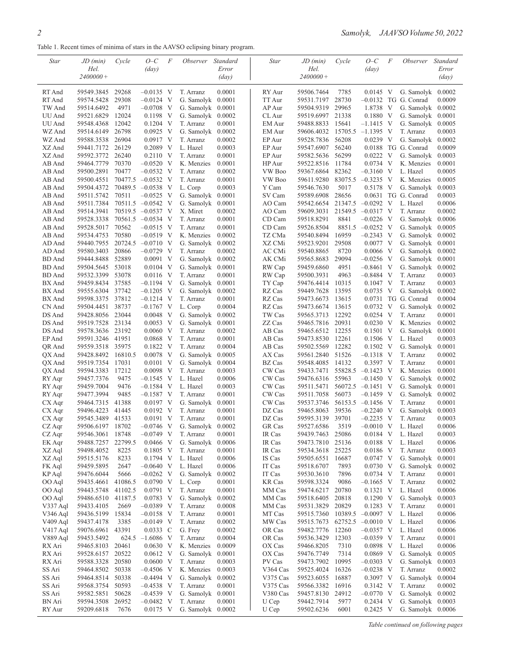Table 1. Recent times of minima of stars in the AAVSO eclipsing binary program.

| Star                 | JD (min)                 | Cycle          | $O-C$                      | F   | <i>Observer</i>         | Standard              | <b>Star</b>      | JD (min)                 | Cycle            | $O-C$                      | F | <i>Observer</i>                             | Standard              |
|----------------------|--------------------------|----------------|----------------------------|-----|-------------------------|-----------------------|------------------|--------------------------|------------------|----------------------------|---|---------------------------------------------|-----------------------|
|                      | Hel.                     |                | $\frac{day}{)}$            |     |                         | Error                 |                  | Hel.                     |                  | (day)                      |   |                                             | Error                 |
|                      | $2400000+$               |                |                            |     |                         | $\langle day \rangle$ |                  | $2400000+$               |                  |                            |   |                                             | $\langle day \rangle$ |
|                      |                          |                |                            |     |                         |                       |                  |                          |                  |                            |   |                                             |                       |
| RT And<br>RT And     | 59549.3845<br>59574.5428 | 29268<br>29308 | $-0.0135$ V<br>$-0.0124$ V |     | T. Arranz<br>G. Samolyk | 0.0001<br>0.0001      | RY Aur<br>TT Aur | 59506.7464<br>59531.7197 | 7785<br>28730    | $0.0145$ V                 |   | G. Samolyk 0.0002<br>$-0.0132$ TG G. Conrad | 0.0009                |
| TW And               | 59514.6492               | 4971           | $-0.0708$ V                |     | G. Samolyk              | 0.0001                | AP Aur           | 59504.9319               | 29965            | 1.8738 V                   |   | G. Samolyk                                  | 0.0002                |
| UU And               | 59521.6829               | 12024          | 0.1198 V                   |     | G. Samolyk              | 0.0002                | CL Aur           | 59519.6997               | 21338            | $0.1880$ V                 |   | G. Samolyk                                  | 0.0001                |
| UU And               | 59548.4368               | 12042          | $0.1204$ V                 |     | T. Arranz               | 0.0001                | EM Aur           | 59488.8833               | 15641            | $-1.1415$ V                |   | G. Samolyk $0.0005$                         |                       |
| WZ And               | 59514.6149               | 26798          | $0.0925$ V                 |     | G. Samolyk              | 0.0002                | <b>EM</b> Aur    | 59606.4032               | 15705.5          | $-1.1395$ V                |   | T. Arranz                                   | 0.0003                |
| WZ And               | 59588.3538               | 26904          | $0.0917$ V                 |     | T. Arranz               | 0.0002                | EP Aur           | 59528.7836               | 56208            | $0.0239$ V                 |   | G. Samolyk $0.0002$                         |                       |
| XZ And               | 59441.7172               | 26129          | $0.2089$ V                 |     | L. Hazel                | 0.0003                | EP Aur           | 59547.6907               | 56240            |                            |   | 0.0188 TG G. Conrad                         | 0.0009                |
| XZ And               | 59592.3772               | 26240          | 0.2110                     | V   | T. Arranz               | 0.0001                | EP Aur           | 59582.5636               | 56299            | 0.0222                     | V | G. Samolyk                                  | 0.0003                |
| AB And               | 59464.7779               | 70370          | $-0.0520$ V                |     | K. Menzies              | 0.0001                | HP Aur           | 59522.8516               | 11784            | $0.0734$ V                 |   | K. Menzies                                  | 0.0001                |
| AB And               | 59500.2891               | 70477          | $-0.0532$                  | - V | T. Arranz               | 0.0002                | VW Boo           | 59367.6864               | 82362            | $-0.3160$ V                |   | L. Hazel                                    | 0.0005                |
| AB And               | 59500.4551               |                | $70477.5 -0.0532$ V        |     | T. Arranz               | 0.0001                | VW Boo           | 59611.9280               | 83075.5          | $-0.3235$ V                |   | K. Menzies                                  | 0.0005                |
| AB And               | 59504.4372               |                | $70489.5 -0.0538$ V        |     | L. Corp                 | 0.0003                | Y Cam            | 59546.7630               | 5017             | 0.5178 V                   |   | G. Samolyk                                  | 0.0003                |
| AB And               | 59511.5742               | 70511          | $-0.0525$ V                |     | G. Samolyk              | 0.0001                | SV Cam           | 59589.6908               | 28656            | 0.0631                     |   | TG G. Conrad                                | 0.0003                |
| AB And               | 59511.7384               |                | $70511.5 -0.0542$ V        |     | G. Samolyk              | 0.0001                | AO Cam           | 59542.6654               |                  | $21347.5 -0.0292$ V        |   | L. Hazel                                    | 0.0006                |
| AB And               | 59514.3941               |                | $70519.5 -0.0537$ V        |     | X. Miret                | 0.0002                | AO Cam           | 59609.3031               |                  | 21549.5 -0.0317 V          |   | T. Arranz                                   | 0.0002                |
| AB And               | 59528.3338               | 70561.5        | $-0.0534$ V                |     | T. Arranz               | 0.0001                | CD Cam           | 59518.8291               | 8841             | $-0.0226$ V                |   | G. Samolyk 0.0006                           |                       |
| AB And               | 59528.5017               | 70562          | $-0.0515$ V                |     | T. Arranz               | 0.0001                | CD Cam           | 59526.8504               | 8851.5           | $-0.0252$ V                |   | G. Samolyk                                  | 0.0005                |
| AB And               | 59534.4753               | 70580          | $-0.0519$ V                |     | K. Menzies              | 0.0002                | TZ CMa           | 59540.8494               | 16959            | $-0.2343$ V                |   | G. Samolyk $0.0002$                         |                       |
| AD And               | 59440.7955               | 20724.5        | $-0.0710$ V                |     | G. Samolyk              | 0.0002                | XZ CMi           | 59523.9201               | 29508            | $0.0077$ V                 |   | G. Samolyk 0.0001                           |                       |
| AD And               | 59580.3403               | 20866          | $-0.0729$                  | - V | T. Arranz               | 0.0002                | AC CMi           | 59540.8865               | 8720             | $0.0066$ V                 |   | G. Samolyk 0.0002                           |                       |
| BD And               | 59444.8488               | 52889          | $0.0091$ V                 |     | G. Samolyk $0.0002$     |                       | AK CMi           | 59565.8683               | 29094            | $-0.0256$ V                |   | G. Samolyk $0.0001$                         |                       |
| <b>BD</b> And        | 59504.5645               | 53018          | $0.0104$ V                 |     | G. Samolyk              | 0.0001                | RW Cap           | 59459.6860               | 4951             | $-0.8461$ V                |   | G. Samolyk 0.0002                           |                       |
| BD And               | 59532.3399               | 53078          | 0.0116                     | - V | T. Arranz               | 0.0001                | RW Cap           | 59500.3931               | 4963             | $-0.8484$ V                |   | T. Arranz                                   | 0.0003                |
| BX And               | 59459.8434               | 37585          | $-0.1194$ V                |     | G. Samolyk              | 0.0001                | TY Cap           | 59476.4414               | 10315            | $0.1047$ V                 |   | T. Arranz                                   | 0.0003                |
| BX And               | 59555.6304               | 37742          | $-0.1205$                  | - V | G. Samolyk              | 0.0002                | RZ Cas           | 59449.7628               | 13595            | 0.0735 V                   |   | G. Samolyk                                  | 0.0002                |
| BX And               | 59598.3375               | 37812          | $-0.1214$ V                |     | T. Arranz               | 0.0001                | RZ Cas           | 59473.6673               | 13615            |                            |   | 0.0731 TG G. Conrad                         | 0.0004                |
| CN And               | 59504.4451               | 38737          | $-0.1767$ V                |     | L. Corp                 | 0.0004                | RZ Cas           | 59473.6674               | 13615            | $0.0732 \text{ V}$         |   | G. Samolyk                                  | 0.0002                |
| DS And               | 59428.8056               | 23044          | 0.0048                     | - V | G. Samolyk              | 0.0002                | TW Cas           | 59565.3713               | 12292            | 0.0254 V                   |   | T. Arranz                                   | 0.0001                |
| DS And               | 59519.7528               | 23134          | $0.0053$ V                 |     | G. Samolyk              | 0.0001                | ZZ Cas           | 59465.7816 20931         |                  | $0.0230 \text{ V}$         |   | K. Menzies                                  | 0.0002                |
| DS And               | 59578.3636               | 23192          | 0.0060                     | - V | T. Arranz               | 0.0002                | AB Cas           | 59465.6512               | 12255            | $0.1501$ V                 |   | G. Samolyk $0.0001$                         |                       |
| EP And               | 59591.3246 41951         |                | $0.0868$ V                 |     | T. Arranz               | 0.0001                | AB Cas           | 59473.8530 12261         |                  | $0.1506$ V                 |   | L. Hazel                                    | 0.0003                |
| QR And               | 59559.3518               | 35975          | 0.1822                     | - V | T. Arranz               | 0.0004                | AB Cas           | 59502.5569 12282         |                  | $0.1502 \text{ V}$         |   | G. Samolyk                                  | 0.0001                |
| QX And               | 59428.8492               | 16810.5        | 0.0078                     | - V | G. Samolyk              | 0.0005                | AX Cas           | 59561.2840               | 51526            | $-0.1318$ V                |   | T. Arranz                                   | 0.0002                |
| QX And               | 59519.7354               | 17031          | $0.0101$ V                 |     | G. Samolyk              | 0.0004                | BZ Cas           | 59548.4085               | 14132            | 0.3597 V                   |   | T. Arranz                                   | 0.0001                |
| QX And<br>RY Aqr     | 59594.3383<br>59457.7376 | 17212<br>9475  | 0.0098<br>$-0.1545$ V      | - V | T. Arranz<br>L. Hazel   | 0.0003<br>0.0006      | CW Cas<br>CW Cas | 59433.7471<br>59476.6316 | 55828.5<br>55963 | $-0.1423$ V<br>$-0.1450$ V |   | K. Menzies<br>G. Samolyk                    | 0.0001<br>0.0002      |
| RY Aqr               | 59459.7004               | 9476           |                            |     |                         | 0.0003                | CW Cas           |                          | 56072.5          | $-0.1451$ V                |   | G. Samolyk                                  |                       |
| RY Agr               | 59477.3994               | 9485           | $-0.1584$ V<br>$-0.1587$ V |     | L. Hazel<br>T. Arranz   | 0.0001                | CW Cas           | 59511.5471<br>59511.7058 | 56073            | $-0.1459$ V                |   | G. Samolyk $0.0002$                         | 0.0001                |
| CX Aqr               | 59464.7315               | 41388          | $0.0197$ V                 |     | G. Samolyk              | 0.0001                | CW Cas           | 59537.3746               |                  | $56153.5 -0.1456$ V        |   | T. Arranz                                   | 0.0001                |
| CX Aqr               | 59496.4223               | 41445          | $0.0192$ V                 |     | T. Arranz               | 0.0001                | DZ Cas           | 59465.8063               | 39536            | $-0.2240$ V                |   | G. Samolyk                                  | 0.0003                |
| CX Aqr               | 59545.3489               | 41533          | $0.0191$ V                 |     | T. Arranz               | 0.0001                | DZ Cas           | 59595.3139               | 39701            | $-0.2235$ V                |   | T. Arranz                                   | 0.0003                |
| CZ Aqr               | 59506.6197 18702         |                | $-0.0746$ V                |     | G. Samolyk              | 0.0002                | GR Cas           | 59527.6586               | 3519             | $-0.0010$ V                |   | L. Hazel                                    | 0.0006                |
| CZ Aqr               | 59546.3061               | 18748          | $-0.0749$ V                |     | T. Arranz               | 0.0001                | IR Cas           | 59439.7463               | 25086            | $0.0184$ V                 |   | L. Hazel                                    | 0.0003                |
| EK Aqr               | 59488.7257               | 22799.5        | $0.0466$ V                 |     | G. Samolyk              | 0.0006                | IR Cas           | 59473.7810               | 25136            | 0.0188 V                   |   | L. Hazel                                    | 0.0006                |
| XZ Aql               | 59498.4052               | 8225           | $0.1805$ V                 |     | T. Arranz               | 0.0001                | IR Cas           | 59534.3618               | 25225            | 0.0186 V                   |   | T. Arranz                                   | 0.0003                |
| XZ Aql               | 59515.5176               | 8233           | 0.1794 V                   |     | L. Hazel                | 0.0006                | IS Cas           | 59505.6551               | 16687            | $0.0747$ V                 |   | G. Samolyk 0.0001                           |                       |
| FK Aql               | 59459.5895               | 2647           | $-0.0640$ V                |     | L. Hazel                | 0.0006                | IT Cas           | 59518.6707               | 7893             | $0.0730 \text{ V}$         |   | G. Samolyk                                  | 0.0002                |
| KP Aql               | 59476.6044               | 5666           | $-0.0262$ V                |     | G. Samolyk              | 0.0002                | IT Cas           | 59530.3610               | 7896             | $0.0734$ V                 |   | T. Arranz                                   | 0.0001                |
| OO Aql               | 59435.4661               | 41086.5        | 0.0790 V                   |     | L. Corp                 | 0.0001                | <b>KR</b> Cas    | 59598.3324               | 9086             | $-0.1665$ V                |   | T. Arranz                                   | 0.0002                |
| OO Aql               | 59443.5748               | 41102.5        | $0.0791$ V                 |     | T. Arranz               | 0.0001                | MM Cas           | 59474.6217               | 20780            | 0.1321 V                   |   | L. Hazel                                    | 0.0006                |
| OO Aql               | 59486.6510               | 41187.5        | 0.0783 V                   |     | G. Samolyk              | 0.0002                | MM Cas           | 59518.6405               | 20818            | 0.1290 V                   |   | G. Samolyk                                  | 0.0003                |
| V337 Aql             | 59433.4105               | 2669           | $-0.0389$ V                |     | T. Arranz               | 0.0008                | MM Cas           | 59531.3829               | 20829            | 0.1283 V                   |   | T. Arranz                                   | 0.0001                |
| V346 Aql             | 59436.5199               | 15834          | $-0.0158$ V                |     | T. Arranz               | 0.0001                | MT Cas           | 59515.7360               |                  | $10389.5 -0.0097$ V        |   | L. Hazel                                    | 0.0006                |
| V <sub>409</sub> Aql | 59437.4178               | 3385           | $-0.0149$ V                |     | T. Arranz               | 0.0002                | MW Cas           | 59515.7673               |                  | 62752.5 -0.0010 V          |   | L. Hazel                                    | 0.0006                |
| V417 Aql             | 59076.6961               | 43391          | $0.0333 \text{ C}$         |     | G. Frey                 | 0.0002                | OR Cas           | 59482.7776               | 12260            | $-0.0357$ V                |   | L. Hazel                                    | 0.0006                |
| V889 Aql             | 59453.5492               |                | $624.5 -1.6086$ V          |     | T. Arranz               | 0.0004                | OR Cas           | 59536.3429               | 12303            | $-0.0359$ V                |   | T. Arranz                                   | 0.0001                |
| RX Ari               | 59465.8103               | 20461          | $0.0630 \, \text{V}$       |     | K. Menzies              | 0.0009                | OX Cas           | 59466.8205               | 7310             | 0.0898 V                   |   | L. Hazel                                    | 0.0006                |
| RX Ari               | 59528.6157               | 20522          | $0.0612$ V                 |     | G. Samolyk              | 0.0001                | OX Cas           | 59476.7749               | 7314             | $0.0869$ V                 |   | G. Samolyk $0.0005$                         |                       |
| RX Ari               | 59588.3328               | 20580          | $0.0600 \, \text{V}$       |     | T. Arranz               | 0.0003                | PV Cas           | 59473.7902               | 10995            | $-0.0303$ V                |   | G. Samolyk 0.0003                           |                       |
| SS Ari               | 59464.8502               | 50338          | $-0.4506$ V                |     | K. Menzies              | 0.0003                | V364 Cas         | 59525.4024               | 16326            | $-0.0238$ V                |   | T. Arranz                                   | 0.0002                |
| SS Ari               | 59464.8514               | 50338          | $-0.4494$ V                |     | G. Samolyk              | 0.0002                | V375 Cas         | 59523.6055               | 16887            | 0.3097 V                   |   | G. Samolyk 0.0004                           |                       |
| SS Ari               | 59568.3754               | 50593          | $-0.4538$ V                |     | T. Arranz               | 0.0001                | V375 Cas         | 59566.3382               | 16916            | 0.3142 V                   |   | T. Arranz                                   | 0.0002                |
| SS Ari               | 59582.5851               | 50628          | $-0.4539$ V                |     | G. Samolyk $0.0001$     |                       | V380 Cas         | 59457.8130               | 24912            | $-0.0770$ V                |   | G. Samolyk 0.0002                           |                       |
| BN Ari               | 59594.3508               | 26952          | $-0.0482$ V                |     | T. Arranz               | 0.0001                | U Cep            | 59442.7914               | 5977             | 0.2434 V                   |   | G. Samolyk 0.0003                           |                       |
| RY Aur               | 59209.6818               | 7676           | $0.0175$ V                 |     | G. Samolyk 0.0002       |                       | U Cep            | 59502.6236               | 6001             | $0.2425$ V                 |   | G. Samolyk 0.0006                           |                       |

*Table continued on following pages*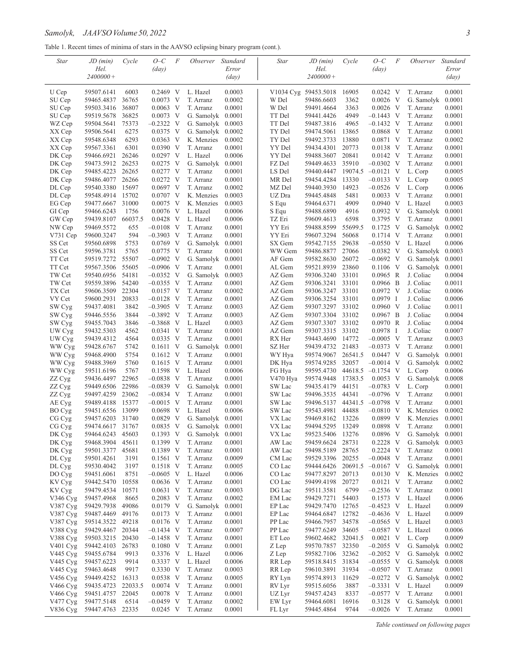Table 1. Recent times of minima of stars in the AAVSO eclipsing binary program (cont.).

| Star          | JD (min)         | Cycle          | $O-C$                | F   | <i>Observer</i>   | <i>Standard</i>  | Star           | JD (min)                 | Cycle        | $O-C$                | F | <i>Observer</i>         | Standard        |
|---------------|------------------|----------------|----------------------|-----|-------------------|------------------|----------------|--------------------------|--------------|----------------------|---|-------------------------|-----------------|
|               | Hel.             |                | $\frac{day}{)}$      |     |                   | Error            |                | Hel.                     |              | $\frac{day}{)}$      |   |                         | Error           |
|               | $2400000+$       |                |                      |     |                   | $\frac{day}{)}$  |                | $2400000+$               |              |                      |   |                         | $\frac{day}{)}$ |
|               |                  |                |                      |     |                   |                  |                |                          |              |                      |   |                         |                 |
| U Cep         | 59507.6141       | 6003           | $0.2469$ V           |     | L. Hazel          | 0.0003           |                | V1034 Cyg 59453.5018     | 16905        | $0.0242 \, V$        |   | T. Arranz               | 0.0001          |
| SU Cep        | 59465.4837       | 36765<br>36807 | $0.0073$ V           |     | T. Arranz         | 0.0002<br>0.0001 | W Del<br>W Del | 59486.6603<br>59491.4664 | 3362<br>3363 | $0.0026$ V           |   | G. Samolyk<br>T. Arranz | 0.0001          |
| SU Cep        | 59503.3416       |                | 0.0063               | V   | T. Arranz         |                  |                |                          |              | $0.0026$ V           |   |                         | 0.0001          |
| SU Cep        | 59519.5678       | 36825          | $0.0073$ V           |     | G. Samolyk        | 0.0001           | TT Del         | 59441.4426               | 4949         | $-0.1443$ V          |   | T. Arranz               | 0.0001          |
| WZ Cep        | 59504.5641       | 75373          | $-0.2322$            | V   | G. Samolyk        | 0.0003           | TT Del         | 59487.3816               | 4965         | $-0.1432$ V          |   | T. Arranz               | 0.0001          |
| XX Cep        | 59506.5641       | 6275           | 0.0375 V             |     | G. Samolyk        | 0.0002           | TY Del         | 59474.5061               | 13865        | $0.0868$ V           |   | T. Arranz               | 0.0001          |
| XX Cep        | 59548.6348       | 6293           | $0.0363$ V           |     | K. Menzies        | 0.0002           | TY Del         | 59492.3733               | 13880        | 0.0871 V             |   | T. Arranz               | 0.0002          |
| XX Cep        | 59567.3361       | 6301           | 0.0390               | - V | T. Arranz         | 0.0001           | YY Del         | 59434.4301               | 20773        | 0.0138 V             |   | T. Arranz               | 0.0001          |
| DK Cep        | 59466.6921       | 26246          | $0.0297$ V           |     | L. Hazel          | 0.0006           | YY Del         | 59488.3607               | 20841        | $0.0142 \, V$        |   | T. Arranz               | 0.0001          |
| DK Cep        | 59473.5912       | 26253          | 0.0275               | V   | G. Samolyk        | 0.0001           | FZ Del         | 59449.4633               | 35910        | $-0.0302$ V          |   | T. Arranz               | 0.0001          |
| DK Cep        | 59485.4223       | 26265          | $0.0277$ V           |     | T. Arranz         | 0.0001           | LS Del         | 59440.4447               | 19074.5      | $-0.0121$ V          |   | L. Corp                 | 0.0005          |
| DK Cep        | 59486.4077       | 26266          | $0.0272 \text{ V}$   |     | T. Arranz         | 0.0001           | MR Del         | 59454.4284               | 13330        | $-0.0133$ V          |   | L. Corp                 | 0.0005          |
| DL Cep        | 59540.3380       | 15697          | $0.0697$ V           |     | T. Arranz         | 0.0002           | MZ Del         | 59440.3930               | 14923        | $-0.0526$ V          |   | L. Corp                 | 0.0006          |
| DL Cep        | 59548.4914       | 15702          | $0.0707$ V           |     | K. Menzies        | 0.0003           | UZ Dra         | 59445.4848               | 5481         | $0.0033$ V           |   | T. Arranz               | 0.0001          |
| EG Cep        | 59477.6667       | 31000          | 0.0075               | V   | K. Menzies        | 0.0003           | S Equ          | 59464.6371               | 4909         | $0.0940 \, \text{V}$ |   | L. Hazel                | 0.0003          |
| GI Cep        | 59466.6243       | 1756           | $0.0076$ V           |     | L. Hazel          | 0.0006           | S Equ          | 59488.6890               | 4916         | 0.0932 V             |   | G. Samolyk              | 0.0001          |
| GW Cep        | 59439.8107       | 66037.5        | $0.0428$ V           |     | L. Hazel          | 0.0006           | TZ Eri         | 59609.4613               | 6598         | 0.3795 V             |   | T. Arranz               | 0.0001          |
| NW Cep        | 59469.5572       | 655            | $-0.0108$            | V   | T. Arranz         | 0.0001           | YY Eri         | 59488.8599               | 55699.5      | 0.1725 V             |   | G. Samolyk              | 0.0002          |
| V731 Cep      | 59600.3247       | 594            | $-0.3903$ V          |     | T. Arranz         | 0.0001           | YY Eri         | 59607.3294               | 56068        | 0.1714 V             |   | T. Arranz               | 0.0001          |
| SS Cet        | 59560.6898       | 5753           | $0.0769$ V           |     | G. Samolyk        | 0.0001           | SX Gem         | 59542.7155               | 29638        | $-0.0550$ V          |   | L. Hazel                | 0.0006          |
| SS Cet        | 59596.3781       | 5765           | 0.0775 V             |     | T. Arranz         | 0.0001           | WW Gem         | 59486.8877               | 27066        | 0.0382 V             |   | G. Samolyk $0.0003$     |                 |
| TT Cet        | 59519.7272       | 55507          | $-0.0902$ V          |     | G. Samolyk        | 0.0001           | AF Gem         | 59582.8630               | 26072        | $-0.0692$ V          |   | G. Samolyk $0.0001$     |                 |
| TT Cet        | 59567.3506       | 55605          | $-0.0906$ V          |     | T. Arranz         | 0.0001           | AL Gem         | 59521.8939               | 23860        | $0.1106$ V           |   | G. Samolyk              | 0.0001          |
| TW Cet        | 59540.6956       | 54181          | $-0.0352$ V          |     | G. Samolyk        | 0.0003           | AZ Gem         | 59306.3240               | 33101        | $0.0965$ R           |   | J. Coliac               | 0.0004          |
| TW Cet        | 59559.3896       | 54240          | $-0.0355$            | - V | T. Arranz         | 0.0001           | AZ Gem         | 59306.3241               | 33101        | 0.0966 B             |   | J. Coliac               | 0.0011          |
| TX Cet        | 59606.3509       | 22304          | 0.0157 V             |     | T. Arranz         | 0.0002           | AZ Gem         | 59306.3247               | 33101        | 0.0972 V             |   | J. Coliac               | 0.0006          |
| VY Cet        | 59600.2931       | 20833          | $-0.0128$ V          |     | T. Arranz         | 0.0001           | AZ Gem         | 59306.3254 33101         |              | $0.0979$ I           |   | J. Coliac               | 0.0006          |
| SW Cyg        | 59437.4081       | 3842           | $-0.3905$            | V   | T. Arranz         | 0.0003           | AZ Gem         | 59307.3297               | 33102        | $0.0960$ V           |   | J. Coliac               | 0.0011          |
| SW Cyg        | 59446.5556       | 3844           | $-0.3892$ V          |     | T. Arranz         | 0.0003           | AZ Gem         | 59307.3304 33102         |              | $0.0967$ B           |   | J. Coliac               | 0.0004          |
| SW Cyg        | 59455.7043       | 3846           | $-0.3868$            | V   | L. Hazel          | 0.0003           | AZ Gem         | 59307.3307 33102         |              | 0.0970 R             |   | J. Coliac               | 0.0004          |
| UW Cyg        | 59432.5303       | 4562           | $0.0341$ V           |     | T. Arranz         | 0.0001           | AZ Gem         | 59307.3315               | 33102        | 0.0978 I             |   | J. Coliac               | 0.0007          |
| UW Cyg        | 59439.4312       | 4564           | $0.0335$ V           |     | T. Arranz         | 0.0001           | RX Her         | 59443.4690               | 14772        | $-0.0005$ V          |   | T. Arranz               | 0.0003          |
| WW Cyg        | 59428.6767       | 5742           | 0.1611               | V   | G. Samolyk        | 0.0001           | SZ Her         | 59439.4732               | 21483        | $-0.0373$ V          |   | T. Arranz               | 0.0001          |
| WW Cyg        | 59468.4900       | 5754           | $0.1612$ V           |     | T. Arranz         | 0.0001           | WY Hya         | 59574.9067               | 26541.5      | $0.0447$ V           |   | G. Samolyk $0.0001$     |                 |
| WW Cyg        | 59488.3969       | 5760           | $0.1615$ V           |     | T. Arranz         | 0.0001           | DK Hya         | 59574.9285               | 32057        | $-0.0014$ V          |   | G. Samolyk              | 0.0002          |
| WW Cyg        | 59511.6196       | 5767           | 0.1598               | - V | L. Hazel          | 0.0006           | FG Hya         | 59595.4730               | 44618.5      | $-0.1754$ V          |   | L. Corp                 | 0.0006          |
| ZZ Cyg        | 59436.4497       | 22965          | $-0.0838$ V          |     | T. Arranz         | 0.0001           | V470 Hya       | 59574.9448               | 17383.5      | $0.0053$ V           |   | G. Samolyk              | 0.0008          |
| ZZ Cyg        | 59449.6506       | 22986          | $-0.0839$            | V   | G. Samolyk        | 0.0001           | SW Lac         | 59435.4179               | 44151        | $-0.0783$ V          |   | L. Corp                 | 0.0001          |
| ZZ Cyg        | 59497.4259       | 23062          | $-0.0834$ V          |     | T. Arranz         | 0.0001           | SW Lac         | 59496.3535               | 44341        | $-0.0796$ V          |   | T. Arranz               | 0.0001          |
| AE Cyg        | 59489.4188       | 15377          | $-0.0015$            | - V | T. Arranz         | 0.0001           | SW Lac         | 59496.5137               | 44341.5      | $-0.0798$ V          |   | T. Arranz               | 0.0001          |
| BO Cyg        | 59451.6556       | 13099          | $0.0698$ V           |     | L. Hazel          | 0.0006           | SW Lac         | 59543.4981               | 44488        | $-0.0810$ V          |   | K. Menzies              | 0.0002          |
| CG Cyg        | 59457.6203       | 31740          | $0.0829$ V           |     | G. Samolyk        | 0.0001           | VX Lac         | 59469.8162               | 13226        | 0.0899 V             |   | K. Menzies              | 0.0001          |
| CG Cyg        | 59474.6617 31767 |                | $0.0835$ V           |     | G. Samolyk 0.0001 |                  | VX Lac         | 59494.5295               | 13249        | 0.0898 V             |   | T. Arranz               | 0.0001          |
| DK Cyg        | 59464.6243       | 45603          | $0.1393$ V           |     | G. Samolyk        | 0.0001           | VX Lac         | 59523.5406               | 13276        | $0.0896$ V           |   | G. Samolyk 0.0001       |                 |
| DK Cyg        | 59468.3904       | 45611          | $0.1399$ V           |     | T. Arranz         | 0.0001           | AW Lac         | 59459.6624 28731         |              | 0.2228 V             |   | G. Samolyk $0.0003$     |                 |
| DK Cyg        | 59501.3377       | 45681          | 0.1389 V             |     | T. Arranz         | 0.0001           | AW Lac         | 59498.5189               | 28765        | 0.2224 V             |   | T. Arranz               | 0.0001          |
| DL Cyg        | 59501.4261       | 3191           | $0.1561$ V           |     | T. Arranz         | 0.0009           | CM Lac         | 59529.3396               | 20255        | $-0.0048$ V          |   | T. Arranz               | 0.0001          |
| DL Cyg        | 59530.4042       | 3197           | $0.1518$ V           |     | T. Arranz         | 0.0005           | CO Lac         | 59444.6426               | 20691.5      | $-0.0167$ V          |   | G. Samolyk 0.0001       |                 |
| DO Cyg        | 59451.6061       | 8751           | $-0.0605$ V          |     | L. Hazel          | 0.0006           | CO Lac         | 59477.8297 20713         |              | $0.0130 \, \text{V}$ |   | K. Menzies              | 0.0002          |
| KV Cyg        | 59442.5470       | 10558          | $0.0636$ V           |     | T. Arranz         | 0.0001           | CO Lac         | 59499.4198               | 20727        | $0.0121$ V           |   | T. Arranz               | 0.0002          |
| KV Cyg        | 59479.4534       | 10571          | $0.0631$ V           |     | T. Arranz         | 0.0003           | DG Lac         | 59511.3581               | 6799         | $-0.2536$ V          |   | T. Arranz               | 0.0001          |
| V346 Cyg      | 59457.4968       | 8665           | 0.2083 V             |     | T. Arranz         | 0.0002           | EM Lac         | 59429.7271 54403         |              | 0.1573 V             |   | L. Hazel                | 0.0006          |
| V387 Cyg      | 59429.7938       | 49086          | $0.0179$ V           |     | G. Samolyk        | 0.0001           | EP Lac         | 59429.7470               | 12765        | $-0.4523$ V          |   | L. Hazel                | 0.0009          |
| $V387 \, Cyg$ | 59487.4469       | 49176          | $0.0173$ V           |     | T. Arranz         | 0.0001           | EP Lac         | 59464.6847 12782         |              | $-0.4636$ V          |   | L. Hazel                | 0.0009          |
| V387 Cyg      | 59514.3522       | 49218          | 0.0176 V             |     | T. Arranz         | 0.0001           | PP Lac         | 59466.7957               | 34578        | $-0.0565$ V          |   | L. Hazel                | 0.0003          |
| V388 Cyg      | 59429.4467       | 20344          | $-0.1434$ V          |     | T. Arranz         | 0.0007           | PP Lac         | 59477.6249               | 34605        | $-0.0587$ V          |   | L. Hazel                | 0.0006          |
| V388 Cyg      | 59503.3215       | 20430          | $-0.1458$ V          |     | T. Arranz         | 0.0001           | ET Leo         | 59602.4682 32041.5       |              | $0.0021$ V           |   | L. Corp                 | 0.0009          |
| $V401 \, Cyg$ | 59442.4103       | 26783          | $0.1080 \, \text{V}$ |     | T. Arranz         | 0.0001           | Z Lep          | 59570.7857 32350         |              | $-0.2055$ V          |   | G. Samolyk 0.0002       |                 |
| V445 Cyg      | 59455.6784       | 9913           | 0.3376 V             |     | L. Hazel          | 0.0006           | Z Lep          | 59582.7106 32362         |              | $-0.2052$ V          |   | G. Samolyk $0.0002$     |                 |
| V445 Cyg      | 59457.6223       | 9914           | 0.3337 V             |     | L. Hazel          | 0.0006           | RR Lep         | 59518.8415 31834         |              | $-0.0555$ V          |   | G. Samolyk 0.0008       |                 |
| V445 Cyg      | 59463.4648       | 9917           | 0.3330 V             |     | T. Arranz         | 0.0003           | RR Lep         | 59610.3891 31934         |              | $-0.0507$ V          |   | T. Arranz               | 0.0001          |
| $V456$ Cyg    | 59449.4252       | 16313          | 0.0538 V             |     | T. Arranz         | 0.0005           | RY Lyn         | 59574.8913               | 11629        | $-0.0272$ V          |   | G. Samolyk 0.0002       |                 |
| V466 Cyg      | 59435.4723       | 22033.5        | $0.0074$ V           |     | T. Arranz         | 0.0001           | RV Lyr         | 59515.6056               | 3887         | $-0.3331$ V          |   | L. Hazel                | 0.0009          |
| V466 Cyg      | 59451.4757       | 22045          | $0.0078$ V           |     | T. Arranz         | 0.0001           | UZ Lyr         | 59457.4243               | 8337         | $-0.0577$ V          |   | T. Arranz               | 0.0001          |
| V477 Cyg      | 59477.5148       | 6514           | $-0.0459$ V          |     | T. Arranz         | 0.0002           | EW Lyr         | 59464.6081               | 16916        | 0.3128 V             |   | G. Samolyk 0.0001       |                 |
| V836 Cyg      | 59447.4763 22335 |                | $0.0245$ V           |     | T. Arranz         | 0.0001           | FL Lyr         | 59445.4864               | 9744         | $-0.0026$ V          |   | T. Arranz               | 0.0001          |
|               |                  |                |                      |     |                   |                  |                |                          |              |                      |   |                         |                 |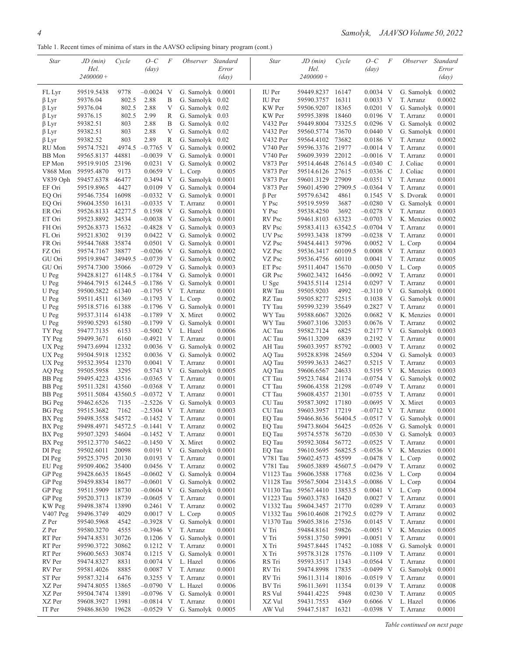Table 1. Recent times of minima of stars in the AAVSO eclipsing binary program (cont.)

| Star                       | JD (min)                       | Cycle           | $O-C$                              | F      | Observer Standard                  |                  | <b>Star</b>      | JD (min)                               | Cycle          | $O-C$                      | F | <i>Observer</i>                  | Standard         |
|----------------------------|--------------------------------|-----------------|------------------------------------|--------|------------------------------------|------------------|------------------|----------------------------------------|----------------|----------------------------|---|----------------------------------|------------------|
|                            | Hel.                           |                 | $\frac{day}{)}$                    |        |                                    | Error            |                  | Hel.                                   |                | $\frac{day}{)}$            |   |                                  | Error            |
|                            | $2400000+$                     |                 |                                    |        |                                    | $\frac{day}{)}$  |                  | $2400000+$                             |                |                            |   |                                  | $\frac{day}{)}$  |
|                            |                                |                 |                                    |        |                                    |                  |                  |                                        |                |                            |   |                                  |                  |
| FL Lyr                     | 59519.5438                     | 9778<br>802.5   | $-0.0024$ V<br>2.88                |        | G. Samolyk 0.0001                  |                  | IU Per<br>IU Per | 59449.8237<br>59590.3757               | 16147          | 0.0034 V<br>$0.0033$ V     |   | G. Samolyk 0.0002                |                  |
| $\beta$ Lyr<br>$\beta$ Lyr | 59376.04<br>59376.04           | 802.5           | 2.88                               | B<br>V | G. Samolyk 0.02<br>G. Samolyk 0.02 |                  | KW Per           | 59506.9207                             | 16311<br>18365 | $0.0201$ V                 |   | T. Arranz<br>G. Samolyk 0.0001   | 0.0002           |
| $\beta$ Lyr                | 59376.15                       | 802.5           | 2.99                               | R      | G. Samolyk 0.03                    |                  | KW Per           | 59595.3898                             | 18460          | $0.0196$ V                 |   | T. Arranz                        | 0.0001           |
| $\beta$ Lyr                | 59382.51                       | 803             | 2.88                               | B      | G. Samolyk 0.02                    |                  | V432 Per         | 59449.8004                             | 73325.5        | $0.0296$ V                 |   | G. Samolyk $0.0002$              |                  |
| βLyr                       | 59382.51                       | 803             | 2.88                               | V      | G. Samolyk 0.02                    |                  | V432 Per         | 59560.5774                             | 73670          | $0.0440 \, \text{V}$       |   | G. Samolyk                       | 0.0001           |
| $\beta$ Lyr                | 59382.52                       | 803             | 2.89                               | R      | G. Samolyk 0.02                    |                  | V432 Per         | 59564.4102                             | 73682          | 0.0186 V                   |   | T. Arranz                        | 0.0002           |
| RU Mon                     | 59574.7521                     | 4974.5          | $-0.7765$ V                        |        | G. Samolyk $0.0002$                |                  | V740 Per         | 59596.3376 21977                       |                | $-0.0014$ V                |   | T. Arranz                        | 0.0001           |
| <b>BB</b> Mon              | 59565.8137                     | 44881           | $-0.0039$                          | - V    | G. Samolyk $0.0001$                |                  | V740 Per         | 59609.3939                             | 22012          | $-0.0016$ V                |   | T. Arranz                        | 0.0001           |
| EP Mon                     | 59519.9105                     | 23196           | $0.0231$ V                         |        | G. Samolyk $0.0002$                |                  | V873 Per         | 59514.4648                             | 27614.5        | $-0.0340$ C                |   | J. Coliac                        | 0.0001           |
| V868 Mon                   | 59595.4870                     | 9173            | $0.0659$ V                         |        | L. Corp                            | 0.0005           | V873 Per         | 59514.6126                             | 27615          | $-0.0336$ C                |   | J. Coliac                        | 0.0001           |
| V839 Oph                   | 59457.6378                     | 46477           | 0.3494 V                           |        | G. Samolyk 0.0001                  |                  | V873 Per         | 59601.3129                             | 27909          | $-0.0351$ V                |   | T. Arranz                        | 0.0001           |
| EF Ori                     | 59519.8965                     | 4427            | $0.0109$ V                         |        | G. Samolyk $0.0004$                |                  | V873 Per         | 59601.4590                             | 27909.5        | $-0.0364$ V                |   | T. Arranz                        | 0.0001           |
| EQ Ori                     | 59546.7354                     | 16098           | $-0.0332$ V                        |        | G. Samolyk $0.0001$                |                  | $\beta$ Per      | 59579.6342                             | 4861           | 0.1545 V                   |   | S. Dvorak                        | 0.0001           |
| EQ Ori                     | 59604.3550                     | 16131           | $-0.0335$ V                        |        | T. Arranz                          | 0.0001           | Y Psc            | 59519.5959                             | 3687           | $-0.0280$ V                |   | G. Samolyk                       | 0.0001           |
| ER Ori                     | 59526.8133                     | 42277.5         | $0.1598$ V                         |        | G. Samolyk 0.0001                  |                  | Y Psc            | 59538.4250                             | 3692           | $-0.0278$ V                |   | T. Arranz                        | 0.0003           |
| ET Ori                     | 59523.8892                     | 34534           | $-0.0038$ V                        |        | G. Samolyk $0.0001$                |                  | RV Psc           | 59461.8103                             | 63323          | $-0.0703$ V                |   | K. Menzies                       | 0.0002           |
| FH Ori                     | 59526.8373                     | 15632           | $-0.4828$ V                        |        | G. Samolyk $0.0003$                |                  | RV Psc           | 59583.4113                             | 63542.5        | $-0.0704$ V                |   | T. Arranz                        | 0.0001           |
| FL Ori                     | 59521.8302                     | 9139            | $0.0422 \, V$                      |        | G. Samolyk $0.0002$                |                  | UV Psc           | 59593.3438                             | 18799          | $-0.0238$ V                |   | T. Arranz                        | 0.0001           |
| FR Ori                     | 59544.7688                     | 35874           | $0.0501$ V                         |        | G. Samolyk $0.0001$                |                  | VZ Psc           | 59454.4413                             | 59796          | $0.0052 \quad V$           |   | L. Corp                          | 0.0004           |
|                            |                                | 38877           |                                    |        | G. Samolyk $0.0002$                |                  | VZ Psc           |                                        | 60109.5        | $0.0008$ V                 |   |                                  |                  |
| FZ Ori<br>GU Ori           | 59574.7167                     |                 | $-0.0206$ V<br>34949.5 -0.0739 V   |        | G. Samolyk $0.0002$                |                  | VZ Psc           | 59536.3417<br>59536.4756               | 60110          | $0.0041$ V                 |   | T. Arranz<br>T. Arranz           | 0.0003<br>0.0005 |
| GU Ori                     | 59519.8947                     | 35066           |                                    |        |                                    |                  |                  | 59511.4047                             | 15670          | $-0.0050$ V                |   |                                  |                  |
|                            | 59574.7300                     |                 | $-0.0729$ V<br>61148.5 $-0.1784$ V |        | G. Samolyk $0.0003$                |                  | ET Psc<br>GR Psc |                                        |                |                            |   | L. Corp                          | 0.0005           |
| U Peg<br>U Peg             | 59428.8127                     | 61244.5         |                                    |        | G. Samolyk                         | 0.0001           |                  | 59602.3432                             | 16456<br>12514 | $-0.0092$ V<br>$0.0297$ V  |   | T. Arranz<br>T. Arranz           | 0.0001           |
|                            | 59464.7915                     | 61340           | $-0.1786$ V<br>$-0.1795$ V         |        | G. Samolyk                         | 0.0001           | U Sge            | 59435.5114                             | 4992           |                            |   | G. Samolyk                       | 0.0001           |
| U Peg                      | 59500.5822                     |                 |                                    |        | T. Arranz                          | 0.0001<br>0.0002 | RW Tau           | 59505.9203                             | 52515          | $-0.3110$ V                |   |                                  | 0.0001           |
| U Peg<br>U Peg             | 59511.4511                     | 61369           | $-0.1793$ V                        |        | L. Corp                            |                  | RZ Tau           | 59505.8277                             | 35649          | $0.1038$ V<br>0.2827 V     |   | G. Samolyk $0.0001$<br>T. Arranz |                  |
|                            | 59518.5716                     | 61388           | $-0.1796$ V                        |        | G. Samolyk                         | 0.0001<br>0.0002 | TY Tau           | 59599.3239                             | 32026          | $0.0682$ V                 |   |                                  | 0.0001           |
| U Peg<br>U Peg             | 59537.3114                     | 61438           | $-0.1789$                          | V      | X. Miret                           |                  | WY Tau           | 59588.6067                             | 32053          |                            |   | K. Menzies                       | 0.0001           |
|                            | 59590.5293                     | 61580           | $-0.1799$ V                        |        | G. Samolyk                         | 0.0001<br>0.0006 | WY Tau           | 59607.3106                             | 6825           | $0.0676$ V<br>0.2177 V     |   | T. Arranz<br>G. Samolyk          | 0.0002           |
| TY Peg                     | 59477.7135                     | 6153            | $-0.5002$ V                        |        | L. Hazel                           |                  | AC Tau           | 59582.7124                             | 6839           | 0.2192 V                   |   |                                  | 0.0003           |
| TY Peg                     | 59499.3671                     | 6160<br>12332   | $-0.4921$ V                        |        | T. Arranz                          | 0.0001           | AC Tau           | 59611.3209                             | 85792          | $-0.0003$ V                |   | T. Arranz<br>T. Arranz           | 0.0001           |
| UX Peg                     | 59473.6994                     |                 | $0.0036$ V                         |        | G. Samolyk<br>G. Samolyk 0.0002    | 0.0002           | AH Tau           | 59603.3957                             |                |                            |   |                                  | 0.0002           |
| UX Peg<br>UX Peg           | 59504.5918<br>59532.3954 12370 | 12352           | $0.0036$ V<br>$0.0041$ V           |        | T. Arranz                          | 0.0001           | AQ Tau<br>AQ Tau | 59528.8398<br>59599.3633               | 24569<br>24627 | $0.5204$ V<br>0.5215 V     |   | G. Samolyk<br>T. Arranz          | 0.0003<br>0.0003 |
|                            |                                | 3295            |                                    |        |                                    | 0.0005           |                  |                                        |                | 0.5195 V                   |   |                                  |                  |
| AQ Peg                     | 59505.5958                     | 43516           | $0.5743$ V<br>$-0.0365$ V          |        | G. Samolyk                         |                  | AQ Tau           | 59606.6567                             | 24633<br>21174 |                            |   | K. Menzies<br>G. Samolyk         | 0.0003           |
| BB Peg                     | 59495.4223                     | 43560           |                                    |        | T. Arranz                          | 0.0001           | CT Tau           | 59523.7484<br>59606.4358               | 21298          | $-0.0754$ V                |   | T. Arranz                        | 0.0002           |
| BB Peg                     | 59511.3281                     |                 | $-0.0368$ V<br>$-0.0372$ V         |        | T. Arranz<br>T. Arranz             | 0.0001<br>0.0001 | CT Tau<br>CT Tau | 59608.4357                             | 21301          | $-0.0749$ V                |   |                                  | 0.0001           |
| BB Peg<br><b>BG</b> Peg    | 59511.5084<br>59462.6526       | 43560.5<br>7135 | $-2.5226$ V                        |        | G. Samolyk                         | 0.0003           | CU Tau           | 59587.3092                             | 17180          | $-0.0755$ V<br>$-0.0695$ V |   | T. Arranz<br>X. Miret            | 0.0001<br>0.0003 |
|                            |                                | 7162            |                                    |        | T. Arranz                          |                  | CU Tau           | 59603.3957                             | 17219          | $-0.0712$ V                |   |                                  |                  |
| <b>BG</b> Peg              | 59515.3682<br>59498.3558       | 54572           | $-2.5304$ V<br>$-0.1452$ V         |        | T. Arranz                          | 0.0003<br>0.0001 | EQ Tau           | 59466.8636                             | 56404.5        | $-0.0517$ V                |   | T. Arranz<br>G. Samolyk          | 0.0001<br>0.0001 |
| BX Peg<br>BX Peg           | 59498.4971                     |                 | 54572.5 -0.1441 V                  |        | T. Arranz                          | 0.0002           |                  | 59473.8604 56425                       |                | $-0.0526$ V                |   | G. Samolyk 0.0001                |                  |
| BX Peg                     | 59507.3293                     | 54604           | $-0.1452$ V                        |        | T. Arranz                          | 0.0001           | EQ Tau<br>EO Tau | 59574.5578 56720                       |                | $-0.0530$ V                |   | G. Samolyk 0.0003                |                  |
| BX Peg                     | 59512.3770 54622               |                 | $-0.1450$ V                        |        | X. Miret                           | 0.0002           | EQ Tau           | 59592.3084                             | 56772          | $-0.0525$ V                |   | T. Arranz                        | 0.0001           |
| DI Peg                     | 59502.6011                     | 20098           | $0.0191$ V                         |        | G. Samolyk                         | 0.0001           | EQ Tau           | 59610.5695                             | 56825.5        | $-0.0536$ V                |   | K. Menzies                       | 0.0001           |
| DI Peg                     | 59525.3795                     | 20130           | $0.0193$ V                         |        | T. Arranz                          | 0.0001           | V781 Tau         | 59602.4573                             | 45599          | $-0.0478$ V                |   | L. Corp                          | 0.0002           |
| EU Peg                     | 59509.4062 35400               |                 | 0.0456 V                           |        | T. Arranz                          | 0.0002           | V781 Tau         | 59605.3889 45607.5 -0.0479 V           |                |                            |   | T. Arranz                        | 0.0002           |
| GP Peg                     | 59428.6635                     | 18645           | $-0.0602$ V                        |        | G. Samolyk 0.0004                  |                  | V1123 Tau        | 59606.3588                             | 17768          | $0.0236$ V                 |   | L. Corp                          | 0.0004           |
| GP Peg                     | 59459.8834 18677               |                 | $-0.0601$ V                        |        | G. Samolyk $0.0002$                |                  |                  | V1128 Tau 59567.5004 23143.5 -0.0086 V |                |                            |   | L. Corp                          | 0.0004           |
| GP Peg                     | 59511.5909 18730               |                 | $-0.0604$ V                        |        | G. Samolyk                         | 0.0001           |                  | V1130 Tau 59567.4410 13853.5           |                | $0.0041$ V                 |   | L. Corp                          | 0.0004           |
| GP Peg                     | 59520.3713                     | 18739           | $-0.0605$ V                        |        | T. Arranz                          | 0.0001           |                  | V1223 Tau 59603.3783 16420             |                | $0.0027$ V                 |   | T. Arranz                        | 0.0001           |
| KW Peg                     | 59498.3874                     | 13890           | 0.2461 V                           |        | T. Arranz                          | 0.0002           |                  | V1332 Tau 59604.3457 21770             |                | $0.0289$ V                 |   | T. Arranz                        | 0.0003           |
| $V407$ Peg                 | 59496.3749                     | 4029            | 0.0017 V                           |        | L. Corp                            | 0.0005           |                  | V1332 Tau 59610.4608                   | 21792.5        | 0.0279 V                   |   | T. Arranz                        | 0.0002           |
| Z Per                      | 59540.5968                     | 4542            | $-0.3928$ V                        |        | G. Samolyk                         | 0.0001           |                  | V1370 Tau 59605.3816 27536             |                | $0.0145$ V                 |   | T. Arranz                        | 0.0001           |
| Z Per                      |                                | 4555            | $-0.3946$ V                        |        | T. Arranz                          | 0.0001           | V Tri            | 59484.8161 59826                       |                | $-0.0051$ V                |   | K. Menzies                       | 0.0005           |
| RT Per                     | 59580.3270                     | 30726           |                                    |        | G. Samolyk 0.0001                  |                  | V Tri            |                                        |                |                            |   |                                  | 0.0001           |
|                            | 59474.8531                     |                 | $0.1206$ V                         |        |                                    |                  |                  | 59581.3750 59991                       |                | $-0.0051$ V                |   | T. Arranz                        |                  |
| RT Per<br>RT Per           | 59590.3722                     | 30862<br>30874  | 0.1212 V                           |        | T. Arranz                          | 0.0001<br>0.0001 | X Tri            | 59457.8445 17452<br>59578.3128 17576   |                | $-0.1088$ V                |   | G. Samolyk 0.0001                |                  |
| RV Per                     | 59600.5653<br>59474.8327       | 8831            | 0.1215 V<br>$0.0074$ V             |        | G. Samolyk<br>L. Hazel             | 0.0006           | X Tri<br>RS Tri  | 59593.3517 11343                       |                | $-0.1109$ V<br>$-0.0564$ V |   | T. Arranz<br>T. Arranz           | 0.0001<br>0.0001 |
|                            |                                |                 |                                    |        |                                    |                  |                  |                                        |                |                            |   | G. Samolyk                       |                  |
| RV Per<br>ST Per           | 59581.4026                     | 8885            | $0.0087$ V                         |        | T. Arranz<br>T. Arranz             | 0.0001<br>0.0001 | RV Tri<br>RV Tri | 59474.8998 17835                       |                | $-0.0499$ V                |   | T. Arranz                        | 0.0001           |
|                            | 59587.3214                     | 6476            | $0.3255$ V                         |        |                                    |                  |                  | 59611.3114 18016                       |                | $-0.0519$ V                |   |                                  | 0.0001           |
| XZ Per<br>XZ Per           | 59474.8055 13865               |                 | $-0.0790$ V                        |        | L. Hazel                           | 0.0006<br>0.0001 | BV Tri<br>RS Vul | 59611.3691 11354                       |                | 0.0139 V                   |   | T. Arranz                        | 0.0008<br>0.0005 |
| XZ Per                     | 59504.7474                     | 13891           | $-0.0796$ V                        |        | G. Samolyk                         |                  | XZ Vul           | 59441.4225                             | 5948           | $0.0230 \text{ V}$         |   | T. Arranz                        | 0.0006           |
| IT Per                     | 59608.3927 13981               |                 | $-0.0814$ V                        |        | T. Arranz                          | 0.0001           |                  | 59431.7553                             | 4369           | $0.6066$ V                 |   | L. Hazel                         |                  |
|                            | 59486.8630 19628               |                 | $-0.0529$ V                        |        | G. Samolyk $0.0005$                |                  | AW Vul           | 59447.5187                             | 16321          | $-0.0398$ V                |   | T. Arranz                        | 0.0001           |

*Table continued on next page*